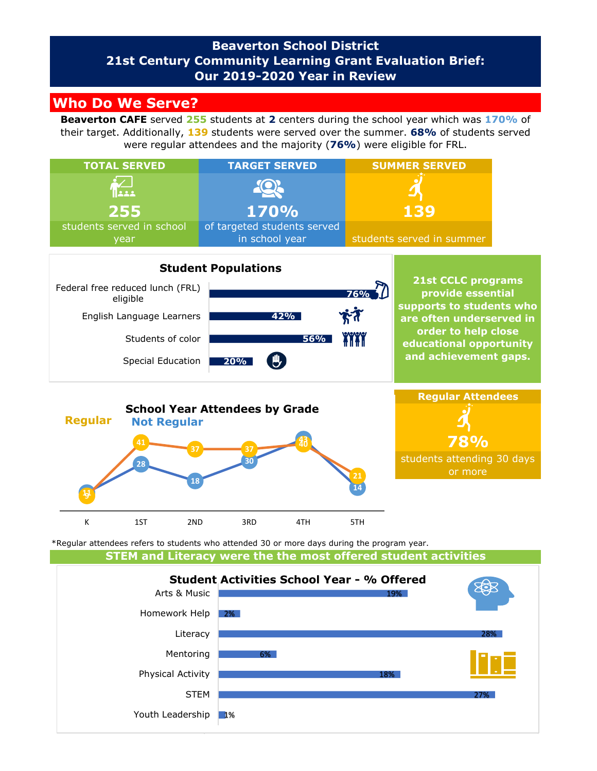## **Beaverton School District 21st Century Community Learning Grant Evaluation Brief: Our 2019-2020 Year in Review**

# **Who Do We Serve?**

**Beaverton CAFE** served **255** students at **2** centers during the school year which was **170%** of their target. Additionally, **139** students were served over the summer. **68%** of students served were regular attendees and the majority (**76%**) were eligible for FRL.